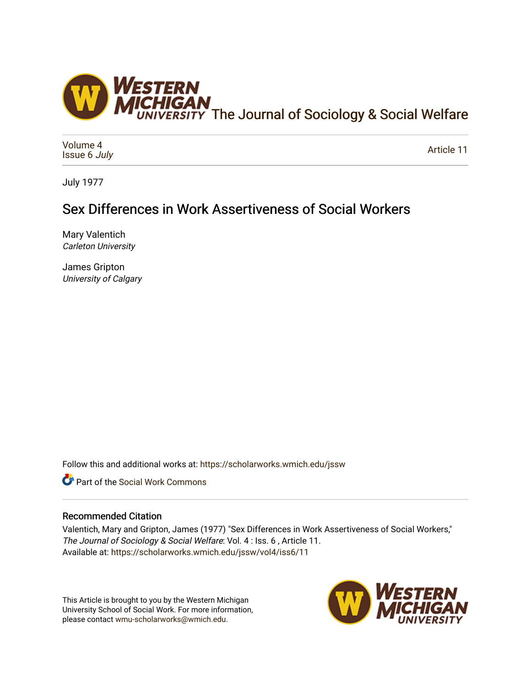

[Volume 4](https://scholarworks.wmich.edu/jssw/vol4) [Issue 6](https://scholarworks.wmich.edu/jssw/vol4/iss6) July

[Article 11](https://scholarworks.wmich.edu/jssw/vol4/iss6/11) 

July 1977

# Sex Differences in Work Assertiveness of Social Workers

Mary Valentich Carleton University

James Gripton University of Calgary

Follow this and additional works at: [https://scholarworks.wmich.edu/jssw](https://scholarworks.wmich.edu/jssw?utm_source=scholarworks.wmich.edu%2Fjssw%2Fvol4%2Fiss6%2F11&utm_medium=PDF&utm_campaign=PDFCoverPages) 

**C** Part of the [Social Work Commons](http://network.bepress.com/hgg/discipline/713?utm_source=scholarworks.wmich.edu%2Fjssw%2Fvol4%2Fiss6%2F11&utm_medium=PDF&utm_campaign=PDFCoverPages)

# Recommended Citation

Valentich, Mary and Gripton, James (1977) "Sex Differences in Work Assertiveness of Social Workers," The Journal of Sociology & Social Welfare: Vol. 4 : Iss. 6 , Article 11. Available at: [https://scholarworks.wmich.edu/jssw/vol4/iss6/11](https://scholarworks.wmich.edu/jssw/vol4/iss6/11?utm_source=scholarworks.wmich.edu%2Fjssw%2Fvol4%2Fiss6%2F11&utm_medium=PDF&utm_campaign=PDFCoverPages)

This Article is brought to you by the Western Michigan University School of Social Work. For more information, please contact [wmu-scholarworks@wmich.edu.](mailto:wmu-scholarworks@wmich.edu)

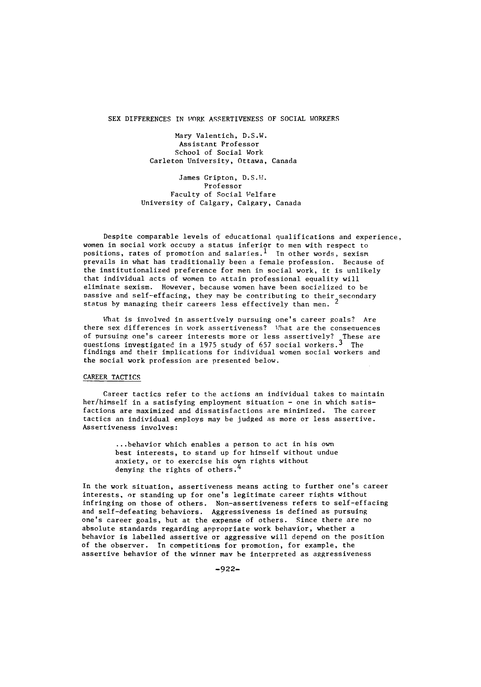SEX DIFFERENCES IN WORK ASSERTIVENESS OF SOCIAL WORKERS

Mary Valentich, D.S.W. Assistant Professor School of Social Work Carleton University, Ottawa, Canada

James Gripton, D.S.W. Professor Faculty of Social Welfare University of Calgary, Calgary, Canada

Despite comparable levels of educational qualifications and experience, women in social work occupy a status inferior to men with respect to positions, rates of promotion and salaries.<sup>1</sup> In other words, sexism prevails in what has traditionally been a female profession. Because of the institutionalized preference for men in social work, it is unlikely that individual acts of women to attain professional equality will eliminate sexism. However, because women have been socialized to be Dassive and self-effacing, they nay be contributing to their secondary status by managing their careers less effectively than men. 2

What is involved in assertively pursuing one's career goals? Are there sex differences in work assertiveness? What are the consequences of pursuing one's career interests more or less assertively? These are questions investigated in a 1975 study of 657 social workers.<sup>3</sup> The<br>findings and their implications for individual women social workers and the social work profession are presented below.

#### CAREER TACTICS

Career tactics refer to the actions an individual takes to maintain her/himself in a satisfying employment situation - one in which satisfactions are maximized and dissatisfactions are minimized. The career tactics an individual employs may be judged as more or less assertive. Assertiveness involves:

> ...behavior which enables a person to act in his own best interests, to stand up for himself without undue anxiety, or to exercise his own rights without denying the rights of others.<sup>4</sup>

In the work situation, assertiveness means acting to further one's career interests, or standing up for one's legitimate career rights without infringing on those of others. Non-assertiveness refers to self-effacing and self-defeating behaviors. Aggressiveness is defined as pursuing one's career goals, but at the expense of others. Since there are no absolute standards regarding appropriate work behavior, whether a behavior is labelled assertive or aggressive will depend on the position of the observer. In competitions for promotion, for example, the assertive behavior of the winner may be interpreted as aggressiveness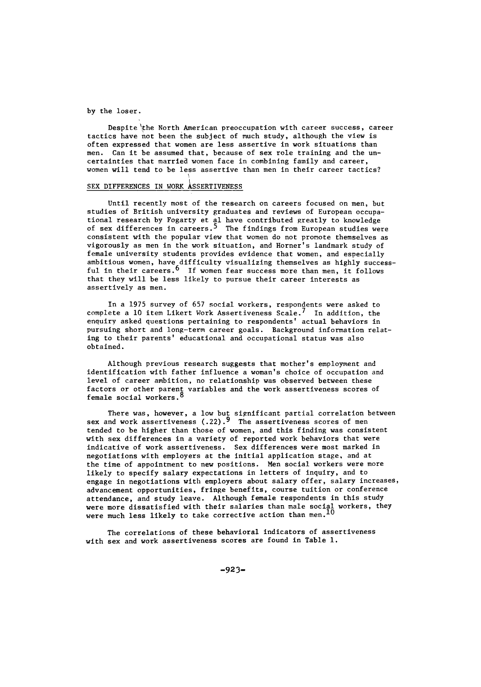by the loser.

Despite the North American preoccupation with career success, career tactics have not been the subject of much study, although the view is often expressed that women are less assertive in work situations than men. Can it be assumed that, because of sex role training and the uncertainties that married women face in combining family and career, women will tend to be less assertive than men in their career tactics?

# SEX DIFFERENCES IN WORK ASSERTIVENESS

Until recently most of the research on careers focused on men, but studies of British university graduates and reviews of European occupational research by Fogarty et al have contributed greatly to knowledge<br>of sex differences in careers.<sup>5</sup> The findings from European studies were consistent with the popular view that women do not promote themselves as vigorously as men in the work situation, and Horner's landmark study of female university students provides evidence that women, and especially ambitious women, have difficulty visualizing themselves as highly success-<br>ful in their careers.<sup>6</sup> If women fear success more than men, it follows that they will be less likely to pursue their career interests as assertively as men.

In a 1975 survey of 657 social workers, respondents were asked to complete a **10** item Likert Work Assertiveness Scale.7 In addition, the enquiry asked questions pertaining to respondents' actual behaviors in pursuing short and long-term career goals. Background information relating to their parents' educational and occupational status was also obtained.

Although previous research suggests that mother's employment and identification with father influence a woman's choice of occupation and level of career ambition, no relationship was observed between these factors or other parent variables and the work assertiveness scores of<br>female social workers.<sup>8</sup>

There was, however, a low but significant partial correlation between<br>sex and work assertiveness (.22).<sup>9</sup> The assertiveness scores of men tended to be higher than those of women, and this finding was consistent with sex differences in a variety of reported work behaviors that were indicative of work assertiveness. Sex differences were most marked in negotiations with employers at the initial application stage, and at the time of appointment to new positions. Men social workers were more likely to specify salary expectations in letters of inquiry, and to engage in negotiations with employers about salary offer, salary increases, advancement opportunities, fringe benefits, course tuition or conference attendance, and study leave. Although female respondents in this study were more dissatisfied with their salaries than male social workers, they<br>were much less likely to take corrective action than men.<sup>10</sup>

The correlations of these behavioral indicators of assertiveness with sex and work assertiveness scores are found in Table **1.**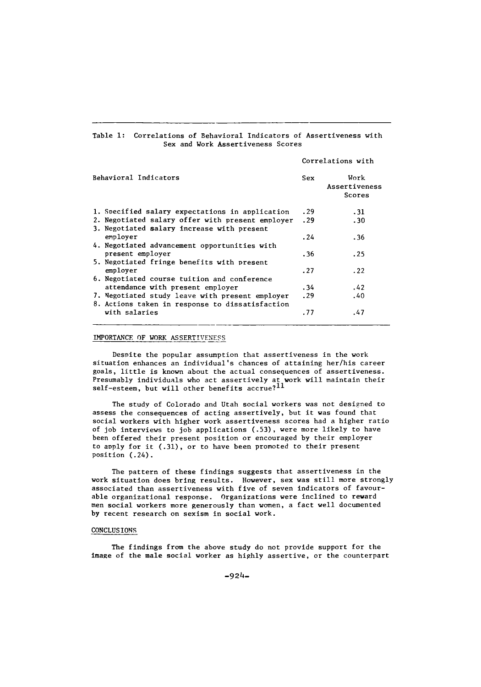#### Table **1:** Correlations of Behavioral Indicators of Assertiveness with Sex and Work Assertiveness Scores

## Correlations with

| Behavioral Indicators                            | Sex  | Work<br>Assertiveness<br>Scores |
|--------------------------------------------------|------|---------------------------------|
| 1. Specified salary expectations in application  | . 29 | .31                             |
| 2. Negotiated salary offer with present employer | .29  | .30                             |
| 3. Negotiated salary increase with present       |      |                                 |
| employer                                         | .24  | .36                             |
| 4. Negotiated advancement opportunities with     |      |                                 |
| present employer                                 | . 36 | . 25                            |
| 5. Negotiated fringe benefits with present       |      |                                 |
| employer                                         | .27  | .22                             |
| 6. Negotiated course tuition and conference      |      |                                 |
| attendance with present employer                 | . 34 | .42                             |
| 7. Negotiated study leave with present employer  | .29  | .40                             |
| 8. Actions taken in response to dissatisfaction  |      |                                 |
| with salaries                                    | .77  | .47                             |
|                                                  |      |                                 |

# IMPORTANCE OF WORK ASSERTIVENESS

Despite the popular assumption that assertiveness in the work situation enhances an individual's chances of attaining her/his career goals, little is known about the actual consequences of assertiveness. Presumably individuals who act assertively at work will maintain their<br>self-esteem, but will other benefits accrue?<sup>11</sup>

The study of Colorado and Utah social workers was not designed to assess the consequences of acting assertively, but it was found that social workers with higher work assertiveness scores had a higher ratio of job interviews to job applications (.53), were more likely to have been offered their present position or encouraged by their employer to apply for it (.31), or to have been promoted to their present position (.24).

The pattern of these findings suggests that assertiveness in the work situation does bring results. However, sex was still more strongly associated than assertiveness with five of seven indicators of favourable organizational response. Organizations were inclined to reward men social workers more generously than women, a fact well documented by recent research on sexism in social work.

## CONCLUSIONS

The findings from the above study do not provide support for the image of the male social worker as highly assertive, or the counterpart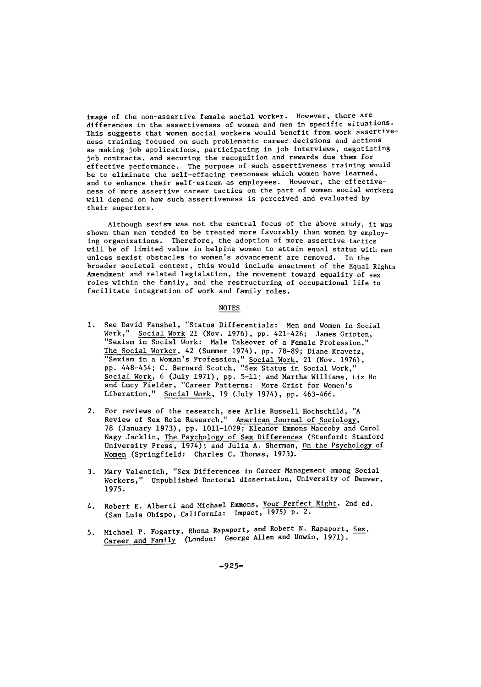image of the non-assertive female social worker. However, there are differences in the assertiveness of women and men in specific situations. This suggests that women social workers would benefit from work assertiveness training focused on such problematic career decisions and actions as making job applications, participating in job interviews, negotiating job contracts, and securing the recognition and rewards due them for effective performance. The purpose of such assertiveness training would be to eliminate the self-effacing responses which women have learned, and to enhance their self-esteem as employees. However, the effectiveness of more assertive career tactics on the part of women social workers will depend on how such assertiveness is perceived and evaluated by their superiors.

Although sexism was not the central focus of the above study, it was shown than men tended to be treated more favorably than women by employing organizations. Therefore, the adoption of more assertive tactics will be of limited value in helping women to attain equal status with men unless sexist obstacles to women's advancement are removed. In the broader societal context, this would include enactment of the Equal Rights Amendment and related legislation, the movement toward equality of sex roles within the family, and the restructuring of occupational life to facilitate integration of work and family roles.

#### NOTES

- **1.** See David Fanshel, "Status Differentials: Men and Women in Social Work," Social Work 21 (Nov. 1976), pp. 421-426; James Gripton, "Sexism in Social Work: Male Takeover of a Female Profession," The Social Worker, 42 (Summer 1974), pp. 78-89; Diane Kravetz, "Sexism in a Woman's Profession," Social Work, 21 (Nov. 1976), pp. 448-454; C. Bernard Scotch, "Sex Status in Social Work," Social Work, 6 (July 1971), pp. 5-11; and Martha Williams, Liz Ho and Lucy Fielder, "Career Patterns: More Grist for Women's Liberation," Social Work, 19 (July 1974), pp. 463-466.
- 2. For reviews of the research, see Arlie Russell Hochschild, "A Review of Sex Role Research," American Journal of Sociology, 78 (January 1973), pp. 1011-1029: Eleanor Emmons Maccoby and Carol Nagy Jacklin, The Psychology of Sex Differences (Stanford: Stanford University Press, 1974): and Julia A. Sherman, On the Psychology of Women (Springfield: Charles C. Thomas, 1973).
- 3. Mary Valentich, "Sex Differences in Career Management among Social Workers," Unpublished Doctoral dissertation, University of Denver, 1975.
- 4. Robert E. Alberti and Michael Emmons, Your Perfect Right. 2nd ed. (San Luis Obispo, California: Impact, 1975) p. 2.
- 5. Michael P. Fogarty, Rhona Rapaport, and Robert N. Rapaport, Sex, Career and Family (London: George Allen and Unwin, 1971).